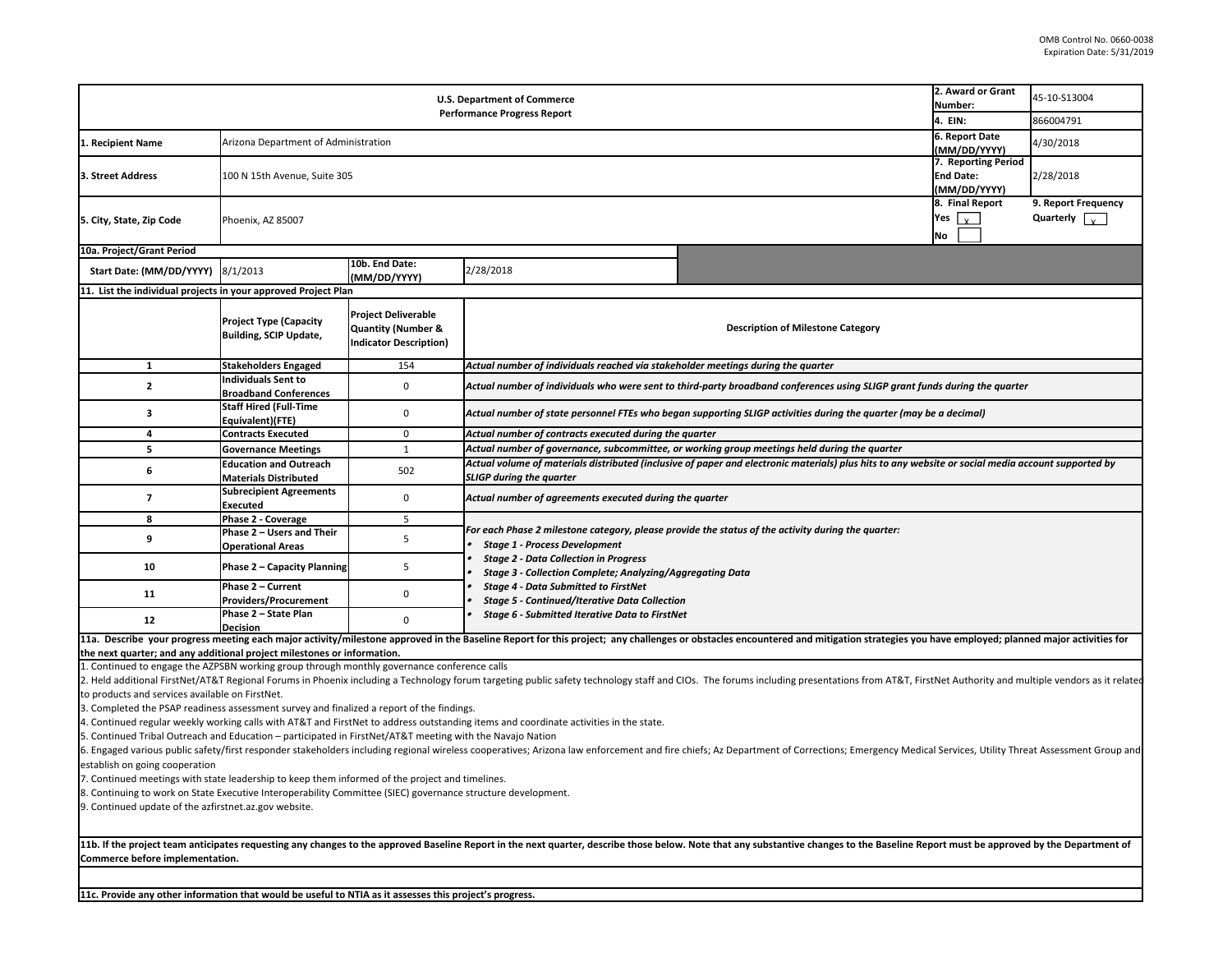| 2. Award or Grant<br><b>U.S. Department of Commerce</b><br>Number:<br><b>Performance Progress Report</b>                                                                                                                                                                                                                                                                                                                                                                                                                                                                                                                                                                                                                                                                                                                                                                                                                                                                                                                                                                                                                                                                             |                                                                |                                                                                              |                                                                                                                                                                                                                                                                |                                                                                              |                                                                         | 45-10-S13004<br>866004791                   |  |  |
|--------------------------------------------------------------------------------------------------------------------------------------------------------------------------------------------------------------------------------------------------------------------------------------------------------------------------------------------------------------------------------------------------------------------------------------------------------------------------------------------------------------------------------------------------------------------------------------------------------------------------------------------------------------------------------------------------------------------------------------------------------------------------------------------------------------------------------------------------------------------------------------------------------------------------------------------------------------------------------------------------------------------------------------------------------------------------------------------------------------------------------------------------------------------------------------|----------------------------------------------------------------|----------------------------------------------------------------------------------------------|----------------------------------------------------------------------------------------------------------------------------------------------------------------------------------------------------------------------------------------------------------------|----------------------------------------------------------------------------------------------|-------------------------------------------------------------------------|---------------------------------------------|--|--|
| 1. Recipient Name                                                                                                                                                                                                                                                                                                                                                                                                                                                                                                                                                                                                                                                                                                                                                                                                                                                                                                                                                                                                                                                                                                                                                                    | Arizona Department of Administration                           |                                                                                              |                                                                                                                                                                                                                                                                |                                                                                              | 4. EIN:<br>6. Report Date                                               | 4/30/2018                                   |  |  |
| 3. Street Address                                                                                                                                                                                                                                                                                                                                                                                                                                                                                                                                                                                                                                                                                                                                                                                                                                                                                                                                                                                                                                                                                                                                                                    | 100 N 15th Avenue, Suite 305                                   |                                                                                              |                                                                                                                                                                                                                                                                |                                                                                              | (MM/DD/YYYY)<br>7. Reporting Period<br><b>End Date:</b><br>(MM/DD/YYYY) | 2/28/2018                                   |  |  |
| 5. City, State, Zip Code                                                                                                                                                                                                                                                                                                                                                                                                                                                                                                                                                                                                                                                                                                                                                                                                                                                                                                                                                                                                                                                                                                                                                             | Phoenix, AZ 85007                                              |                                                                                              |                                                                                                                                                                                                                                                                |                                                                                              | 8. Final Report<br>Yes $_{\mathsf{v}}$<br><b>No</b>                     | 9. Report Frequency<br>Quarterly $\sqrt{v}$ |  |  |
| 10a. Project/Grant Period                                                                                                                                                                                                                                                                                                                                                                                                                                                                                                                                                                                                                                                                                                                                                                                                                                                                                                                                                                                                                                                                                                                                                            |                                                                |                                                                                              |                                                                                                                                                                                                                                                                |                                                                                              |                                                                         |                                             |  |  |
| Start Date: (MM/DD/YYYY)                                                                                                                                                                                                                                                                                                                                                                                                                                                                                                                                                                                                                                                                                                                                                                                                                                                                                                                                                                                                                                                                                                                                                             | 8/1/2013                                                       | 10b. End Date:<br>(MM/DD/YYYY)                                                               | 2/28/2018                                                                                                                                                                                                                                                      |                                                                                              |                                                                         |                                             |  |  |
| 11. List the individual projects in your approved Project Plan                                                                                                                                                                                                                                                                                                                                                                                                                                                                                                                                                                                                                                                                                                                                                                                                                                                                                                                                                                                                                                                                                                                       |                                                                |                                                                                              |                                                                                                                                                                                                                                                                |                                                                                              |                                                                         |                                             |  |  |
|                                                                                                                                                                                                                                                                                                                                                                                                                                                                                                                                                                                                                                                                                                                                                                                                                                                                                                                                                                                                                                                                                                                                                                                      | <b>Project Type (Capacity</b><br><b>Building, SCIP Update,</b> | <b>Project Deliverable</b><br><b>Quantity (Number &amp;</b><br><b>Indicator Description)</b> |                                                                                                                                                                                                                                                                | <b>Description of Milestone Category</b>                                                     |                                                                         |                                             |  |  |
| $\mathbf{1}$                                                                                                                                                                                                                                                                                                                                                                                                                                                                                                                                                                                                                                                                                                                                                                                                                                                                                                                                                                                                                                                                                                                                                                         | <b>Stakeholders Engaged</b>                                    | 154                                                                                          | Actual number of individuals reached via stakeholder meetings during the quarter                                                                                                                                                                               |                                                                                              |                                                                         |                                             |  |  |
| $\overline{2}$                                                                                                                                                                                                                                                                                                                                                                                                                                                                                                                                                                                                                                                                                                                                                                                                                                                                                                                                                                                                                                                                                                                                                                       | <b>Individuals Sent to</b><br><b>Broadband Conferences</b>     | $\mathbf 0$                                                                                  | Actual number of individuals who were sent to third-party broadband conferences using SLIGP grant funds during the quarter                                                                                                                                     |                                                                                              |                                                                         |                                             |  |  |
| 3                                                                                                                                                                                                                                                                                                                                                                                                                                                                                                                                                                                                                                                                                                                                                                                                                                                                                                                                                                                                                                                                                                                                                                                    | <b>Staff Hired (Full-Time</b><br>Equivalent)(FTE)              | $\mathbf 0$                                                                                  | Actual number of state personnel FTEs who began supporting SLIGP activities during the quarter (may be a decimal)                                                                                                                                              |                                                                                              |                                                                         |                                             |  |  |
| 4                                                                                                                                                                                                                                                                                                                                                                                                                                                                                                                                                                                                                                                                                                                                                                                                                                                                                                                                                                                                                                                                                                                                                                                    | <b>Contracts Executed</b>                                      | $\mathbf 0$                                                                                  | Actual number of contracts executed during the quarter                                                                                                                                                                                                         |                                                                                              |                                                                         |                                             |  |  |
| 5                                                                                                                                                                                                                                                                                                                                                                                                                                                                                                                                                                                                                                                                                                                                                                                                                                                                                                                                                                                                                                                                                                                                                                                    | <b>Governance Meetings</b>                                     | $\mathbf{1}$                                                                                 |                                                                                                                                                                                                                                                                | Actual number of governance, subcommittee, or working group meetings held during the quarter |                                                                         |                                             |  |  |
| 6                                                                                                                                                                                                                                                                                                                                                                                                                                                                                                                                                                                                                                                                                                                                                                                                                                                                                                                                                                                                                                                                                                                                                                                    | <b>Education and Outreach</b><br><b>Materials Distributed</b>  | 502                                                                                          | Actual volume of materials distributed (inclusive of paper and electronic materials) plus hits to any website or social media account supported by<br><b>SLIGP during the quarter</b>                                                                          |                                                                                              |                                                                         |                                             |  |  |
| $\overline{7}$                                                                                                                                                                                                                                                                                                                                                                                                                                                                                                                                                                                                                                                                                                                                                                                                                                                                                                                                                                                                                                                                                                                                                                       | <b>Subrecipient Agreements</b><br>Executed                     | 0                                                                                            | Actual number of agreements executed during the quarter                                                                                                                                                                                                        |                                                                                              |                                                                         |                                             |  |  |
| 8                                                                                                                                                                                                                                                                                                                                                                                                                                                                                                                                                                                                                                                                                                                                                                                                                                                                                                                                                                                                                                                                                                                                                                                    | Phase 2 - Coverage                                             | 5                                                                                            |                                                                                                                                                                                                                                                                |                                                                                              |                                                                         |                                             |  |  |
| 9                                                                                                                                                                                                                                                                                                                                                                                                                                                                                                                                                                                                                                                                                                                                                                                                                                                                                                                                                                                                                                                                                                                                                                                    | Phase 2 - Users and Their<br><b>Operational Areas</b>          | 5                                                                                            | For each Phase 2 milestone category, please provide the status of the activity during the quarter:<br><b>Stage 1 - Process Development</b><br><b>Stage 2 - Data Collection in Progress</b><br><b>Stage 3 - Collection Complete; Analyzing/Aggregating Data</b> |                                                                                              |                                                                         |                                             |  |  |
| 10                                                                                                                                                                                                                                                                                                                                                                                                                                                                                                                                                                                                                                                                                                                                                                                                                                                                                                                                                                                                                                                                                                                                                                                   | Phase 2 - Capacity Planning                                    | 5                                                                                            |                                                                                                                                                                                                                                                                |                                                                                              |                                                                         |                                             |  |  |
| 11                                                                                                                                                                                                                                                                                                                                                                                                                                                                                                                                                                                                                                                                                                                                                                                                                                                                                                                                                                                                                                                                                                                                                                                   | Phase 2 - Current<br><b>Providers/Procurement</b>              | 0                                                                                            | <b>Stage 4 - Data Submitted to FirstNet</b><br><b>Stage 5 - Continued/Iterative Data Collection</b>                                                                                                                                                            |                                                                                              |                                                                         |                                             |  |  |
| 12                                                                                                                                                                                                                                                                                                                                                                                                                                                                                                                                                                                                                                                                                                                                                                                                                                                                                                                                                                                                                                                                                                                                                                                   | Phase 2 - State Plan<br><b>Decision</b>                        | $\mathbf 0$                                                                                  | <b>Stage 6 - Submitted Iterative Data to FirstNet</b>                                                                                                                                                                                                          |                                                                                              |                                                                         |                                             |  |  |
| 11a. Describe your progress meeting each major activity/milestone approved in the Baseline Report for this project; any challenges or obstacles encountered and mitigation strategies you have employed; planned major activit<br>the next quarter; and any additional project milestones or information.<br>1. Continued to engage the AZPSBN working group through monthly governance conference calls                                                                                                                                                                                                                                                                                                                                                                                                                                                                                                                                                                                                                                                                                                                                                                             |                                                                |                                                                                              |                                                                                                                                                                                                                                                                |                                                                                              |                                                                         |                                             |  |  |
| 2. Held additional FirstNet/AT&T Regional Forums in Phoenix including a Technology forum targeting public safety technology staff and CIOs. The forums including presentations from AT&T, FirstNet Authority and multiple vend<br>to products and services available on FirstNet.<br>3. Completed the PSAP readiness assessment survey and finalized a report of the findings.<br>4. Continued regular weekly working calls with AT&T and FirstNet to address outstanding items and coordinate activities in the state.<br>5. Continued Tribal Outreach and Education - participated in FirstNet/AT&T meeting with the Navajo Nation<br>6. Engaged various public safety/first responder stakeholders including regional wireless cooperatives; Arizona law enforcement and fire chiefs; Az Department of Corrections; Emergency Medical Services, Utility Threat Asse<br>establish on going cooperation<br>7. Continued meetings with state leadership to keep them informed of the project and timelines.<br>8. Continuing to work on State Executive Interoperability Committee (SIEC) governance structure development.<br>9. Continued update of the azfirstnet.az.gov website. |                                                                |                                                                                              |                                                                                                                                                                                                                                                                |                                                                                              |                                                                         |                                             |  |  |
| 11b. If the project team anticipates requesting any changes to the approved Baseline Report in the next quarter, describe those below. Note that any substantive changes to the Baseline Report must be approved by the Depart<br>Commerce before implementation.                                                                                                                                                                                                                                                                                                                                                                                                                                                                                                                                                                                                                                                                                                                                                                                                                                                                                                                    |                                                                |                                                                                              |                                                                                                                                                                                                                                                                |                                                                                              |                                                                         |                                             |  |  |

**11c. Provide any other information that would be useful to NTIA as it assesses this project's progress.**